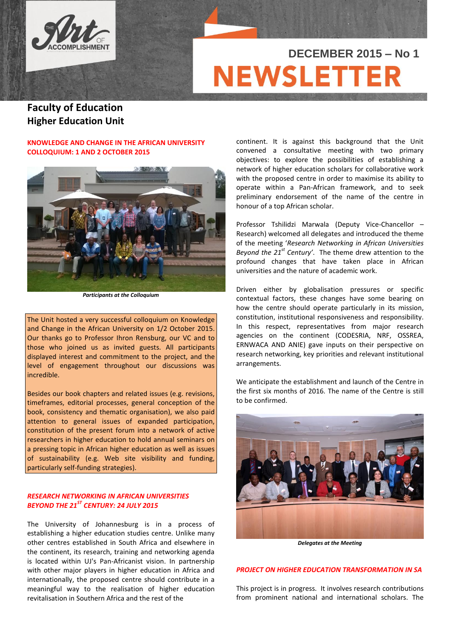

# **DECEMBER 2015 – No 1NEWSLETT**

# **Faculty of Education Higher Education Unit**

# **KNOWLEDGE AND CHANGE IN THE AFRICAN UNIVERSITY COLLOQUIUM: 1 AND 2 OCTOBER 2015**



*Participants at the Colloquium*

The Unit hosted a very successful colloquium on Knowledge and Change in the African University on 1/2 October 2015. Our thanks go to Professor Ihron Rensburg, our VC and to those who joined us as invited guests. All participants displayed interest and commitment to the project, and the level of engagement throughout our discussions was incredible.

Besides our book chapters and related issues (e.g. revisions, timeframes, editorial processes, general conception of the book, consistency and thematic organisation), we also paid attention to general issues of expanded participation, constitution of the present forum into a network of active researchers in higher education to hold annual seminars on a pressing topic in African higher education as well as issues of sustainability (e.g. Web site visibility and funding, particularly self-funding strategies).

# *RESEARCH NETWORKING IN AFRICAN UNIVERSITIES BEYOND THE 21ST CENTURY: 24 JULY 2015*

The University of Johannesburg is in a process of establishing a higher education studies centre. Unlike many other centres established in South Africa and elsewhere in the continent, its research, training and networking agenda is located within UJ's Pan-Africanist vision. In partnership with other major players in higher education in Africa and internationally, the proposed centre should contribute in a meaningful way to the realisation of higher education revitalisation in Southern Africa and the rest of the

continent. It is against this background that the Unit convened a consultative meeting with two primary objectives: to explore the possibilities of establishing a network of higher education scholars for collaborative work with the proposed centre in order to maximise its ability to operate within a Pan-African framework, and to seek preliminary endorsement of the name of the centre in honour of a top African scholar.

Professor Tshilidzi Marwala (Deputy Vice-Chancellor – Research) welcomed all delegates and introduced the theme of the meeting '*Research Networking in African Universities Beyond the 21st Century'*. The theme drew attention to the profound changes that have taken place in African universities and the nature of academic work.

Driven either by globalisation pressures or specific contextual factors, these changes have some bearing on how the centre should operate particularly in its mission, constitution, institutional responsiveness and responsibility. In this respect, representatives from major research agencies on the continent (CODESRIA, NRF, OSSREA, ERNWACA AND ANIE) gave inputs on their perspective on research networking, key priorities and relevant institutional arrangements.

We anticipate the establishment and launch of the Centre in the first six months of 2016. The name of the Centre is still to be confirmed.



*Delegates at the Meeting*

# *PROJECT ON HIGHER EDUCATION TRANSFORMATION IN SA*

This project is in progress. It involves research contributions from prominent national and international scholars. The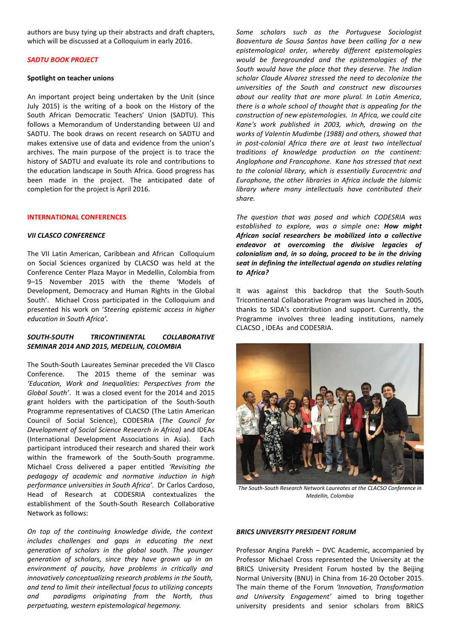authors are busy tying up their abstracts and draft chapters, which will be discussed at a Colloquium in early 2016.

#### *SADTU BOOK PROJECT*

#### **Spotlight on teacher unions**

An important project being undertaken by the Unit (since July 2015) is the writing of a book on the History of the South African Democratic Teachers' Union (SADTU). This follows a Memorandum of Understanding between UJ and SADTU. The book draws on recent research on SADTU and makes extensive use of data and evidence from the union's archives. The main purpose of the project is to trace the history of SADTU and evaluate its role and contributions to the education landscape in South Africa. Good progress has been made in the project. The anticipated date of completion for the project is April 2016.

#### **INTERNATIONAL CONFERENCES**

#### *VII CLASCO CONFERENCE*

The VII Latin American, Caribbean and African Colloquium on Social Sciences organized by CLACSO was held at the Conference Center Plaza Mayor in Medellin, Colombia from 9–15 November 2015 with the theme 'Models of Development, Democracy and Human Rights in the Global South'. Michael Cross participated in the Colloquium and presented his work on '*Steering epistemic access in higher education in South Africa'.*

# *SOUTH-SOUTH TRICONTINENTAL COLLABORATIVE SEMINAR 2014 AND 2015, MEDELLIN, COLOMBIA*

The South-South Laureates Seminar preceded the VII Clasco Conference. The 2015 theme of the seminar was *'Education, Work and Inequalities: Perspectives from the Global South'*. It was a closed event for the 2014 and 2015 grant holders with the participation of the South-South Programme representatives of CLACSO (The Latin American Council of Social Science), CODESRIA (*The Council for Development of Social Science Research in Africa)* and IDEAs (International Development Associations in Asia). Each participant introduced their research and shared their work within the framework of the South-South programme. Michael Cross delivered a paper entitled *'Revisiting the pedagogy of academic and normative induction in high performance universities in South Africa'*. Dr Carlos Cardoso, Head of Research at CODESRIA contextualizes the establishment of the South-South Research Collaborative Network as follows:

*On top of the continuing knowledge divide, the context includes challenges and gaps in educating the next generation of scholars in the global south. The younger generation of scholars, since they have grown up in an environment of paucity, have problems in critically and innovatively conceptualizing research problems in the South, and tend to limit their intellectual focus to utilizing concepts and paradigms originating from the North, thus perpetuating, western epistemological hegemony.* 

*Some scholars such as the Portuguese Sociologist Boaventura de Sousa Santos have been calling for a new epistemological order, whereby different epistemologies would be foregrounded and the epistemologies of the South would have the place that they deserve. The Indian scholar Claude Alvarez stressed the need to decolonize the universities of the South and construct new discourses about our reality that are more plural. In Latin America, there is a whole school of thought that is appealing for the construction of new epistemologies. In Africa, we could cite Kane's work published in 2003, which, drawing on the works of Valentin Mudimbe (1988) and others, showed that in post-colonial Africa there are at least two intellectual traditions of knowledge production on the continent: Anglophone and Francophone. Kane has stressed that next to the colonial library, which is essentially Eurocentric and Europhone, the other libraries in Africa include the Islamic library where many intellectuals have contributed their share.* 

*The question that was posed and which CODESRIA was established to explore, was a simple one: How might African social researchers be mobilized into a collective endeavor at overcoming the divisive legacies of colonialism and, in so doing, proceed to be in the driving seat in defining the intellectual agenda on studies relating to Africa?*

It was against this backdrop that the South-South Tricontinental Collaborative Program was launched in 2005, thanks to SIDA's contribution and support. Currently, the Programme involves three leading institutions, namely CLACSO , IDEAs and CODESRIA.



*The South-South Research Network Laureates at the CLACSO Conference in Medellin, Colombia*

#### *BRICS UNIVERSITY PRESIDENT FORUM*

Professor Angina Parekh – DVC Academic, accompanied by Professor Michael Cross represented the University at the BRICS University President Forum hosted by the Beijing Normal University (BNU) in China from 16-20 October 2015. The main theme of the Forum *'Innovation, Transformation and University Engagement'* aimed to bring together university presidents and senior scholars from BRICS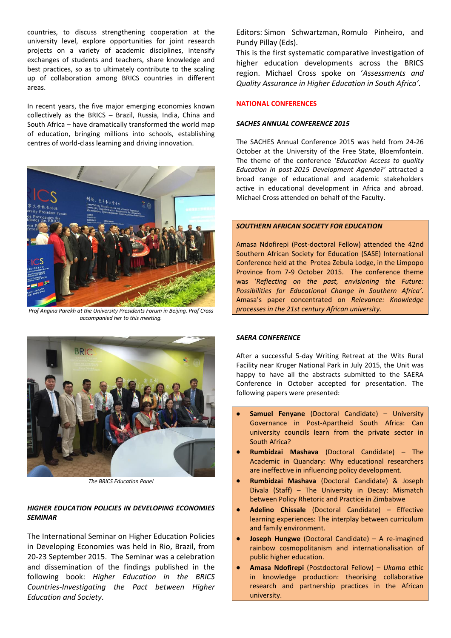countries, to discuss strengthening cooperation at the university level, explore opportunities for joint research projects on a variety of academic disciplines, intensify exchanges of students and teachers, share knowledge and best practices, so as to ultimately contribute to the scaling up of collaboration among BRICS countries in different areas.

In recent years, the five major emerging economies known collectively as the BRICS – Brazil, Russia, India, China and South Africa – have dramatically transformed the world map of education, bringing millions into schools, establishing centres of world-class learning and driving innovation.



*Prof Angina Parekh at the University Presidents Forum in Beijing. Prof Cross accompanied her to this meeting.*



*The BRICS Education Panel*

# *HIGHER EDUCATION POLICIES IN DEVELOPING ECONOMIES SEMINAR*

The International Seminar on Higher Education Policies in Developing Economies was held in Rio, Brazil, from 20-23 September 2015. The Seminar was a celebration and dissemination of the findings published in the following book: *Higher Education in the BRICS Countries-Investigating the Pact between Higher Education and Society*.

Editors: Simon Schwartzman, Romulo Pinheiro, and Pundy Pillay (Eds).

This is the first systematic comparative investigation of higher education developments across the BRICS region. Michael Cross spoke on '*Assessments and Quality Assurance in Higher Education in South Africa'*.

# **NATIONAL CONFERENCES**

# *SACHES ANNUAL CONFERENCE 2015*

The SACHES Annual Conference 2015 was held from 24-26 October at the University of the Free State, Bloemfontein. The theme of the conference '*Education Access to quality Education in post-2015 Development Agenda?'* attracted a broad range of educational and academic stakeholders active in educational development in Africa and abroad. Michael Cross attended on behalf of the Faculty.

# *SOUTHERN AFRICAN SOCIETY FOR EDUCATION*

Amasa Ndofirepi (Post-doctoral Fellow) attended the 42nd Southern African Society for Education (SASE) International Conference held at the Protea Zebula [Lodge,](http://s.ltmmty.com/click?v=WkE6MTA2MzQ1OjI2OTE6bG9kZ2VzOjE5OThlMTkzOGNkODgxY2NjMTA2NmI5ZDgwNjVkMzU1OnotMTc1MC00NTg4NTM0Mzp3d3cudW5pc2EuYWMuemE6MzA0NzMwOmMxNzRiMzJlZGRhZTZkY2Y3ZTJhNzNjYWQzZWJlMmI4OjM0N2IxNjA4MWFjNzRmZWU4NjE5ZmM5OGUzYzJjMzA5OjE6ZGF0YV9zcywxMDQweDE5MjA7ZGF0YV9yYywzO2RhdGFfZmIsbm87ZGF0YV9pdG5fdGVzdCwyMDE1MTAxM19jOzo1MTYxMTk5&subid=g-45885343-73e3a4f094df4434aefb3dae3944d17f-&data_ss=1040x1920&data_rc=3&data_fb=no&data_itn_test=20151013_c&data_tagname=A&data_ct=small_square&data_clickel=link&data_sid=12299120879618168098) in the Limpopo Province from 7-9 October 2015. The conference theme was '*Reflecting on the past, envisioning the Future: Possibilities for Educational Change in Southern Africa'.* Amasa's paper concentrated on *Relevance: Knowledge processes in the 21st century African university.* 

# *SAERA CONFERENCE*

After a successful 5-day Writing Retreat at the Wits Rural Facility near Kruger National Park in July 2015, the Unit was happy to have all the abstracts submitted to the SAERA Conference in October accepted for presentation. The following papers were presented:

- **Samuel Fenyane** (Doctoral Candidate) University Governance in Post-Apartheid South Africa: Can university councils learn from the private sector in South Africa?
- **Rumbidzai Mashava** (Doctoral Candidate) The Academic in Quandary: Why educational researchers are ineffective in influencing policy development.
- **Rumbidzai Mashava** (Doctoral Candidate) & Joseph Divala (Staff) – The University in Decay: Mismatch between Policy Rhetoric and Practice in Zimbabwe
- **Adelino Chissale** (Doctoral Candidate) Effective learning experiences: The interplay between curriculum and family environment.
- **Joseph Hungwe** (Doctoral Candidate) A re-imagined rainbow cosmopolitanism and internationalisation of public higher education.
- **Amasa Ndofirepi** (Postdoctoral Fellow) *Ukama* ethic in knowledge production: theorising collaborative research and partnership practices in the African university.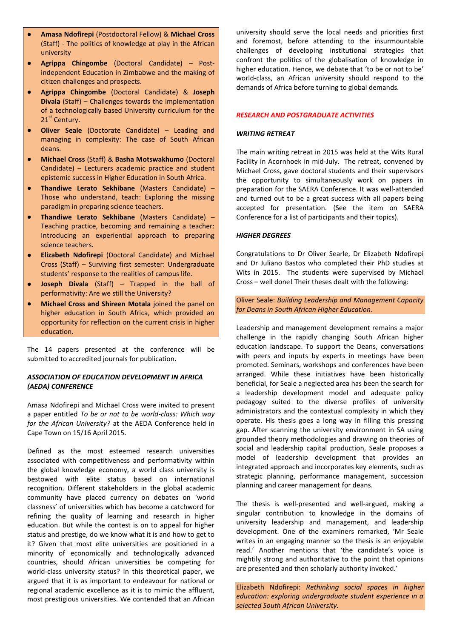- **Amasa Ndofirepi** (Postdoctoral Fellow) & **Michael Cross** (Staff) - The politics of knowledge at play in the African university
- **Agrippa Chingombe** (Doctoral Candidate) Postindependent Education in Zimbabwe and the making of citizen challenges and prospects.
- **Agrippa Chingombe** (Doctoral Candidate) & **Joseph Divala** (Staff) – Challenges towards the implementation of a technologically based University curriculum for the 21<sup>st</sup> Century.
- **Oliver Seale** (Doctorate Candidate) Leading and managing in complexity: The case of South African deans.
- **Michael Cross** (Staff) & **Basha Motswakhumo** (Doctoral Candidate) – Lecturers academic practice and student epistemic success in Higher Education in South Africa.
- **Thandiwe Lerato Sekhibane** (Masters Candidate) Those who understand, teach: Exploring the missing paradigm in preparing science teachers.
- **Thandiwe Lerato Sekhibane** (Masters Candidate) Teaching practice, becoming and remaining a teacher: Introducing an experiential approach to preparing science teachers.
- **Elizabeth Ndofirepi** (Doctoral Candidate) and Michael Cross (Staff) – Surviving first semester: Undergraduate students' response to the realities of campus life.
- **Joseph Divala** (Staff) Trapped in the hall of performativity: Are we still the University?
- **Michael Cross and Shireen Motala** joined the panel on higher education in South Africa, which provided an opportunity for reflection on the current crisis in higher education.

The 14 papers presented at the conference will be submitted to accredited journals for publication.

# *ASSOCIATION OF EDUCATION DEVELOPMENT IN AFRICA (AEDA) CONFERENCE*

Amasa Ndofirepi and Michael Cross were invited to present a paper entitled *To be or not to be world-class: Which way for the African University?* at the AEDA Conference held in Cape Town on 15/16 April 2015.

Defined as the most esteemed research universities associated with competitiveness and performativity within the global knowledge economy, a world class university is bestowed with elite status based on international recognition. Different stakeholders in the global academic community have placed currency on debates on 'world classness' of universities which has become a catchword for refining the quality of learning and research in higher education. But while the contest is on to appeal for higher status and prestige, do we know what it is and how to get to it? Given that most elite universities are positioned in a minority of economically and technologically advanced countries, should African universities be competing for world-class university status? In this theoretical paper, we argued that it is as important to endeavour for national or regional academic excellence as it is to mimic the affluent, most prestigious universities. We contended that an African university should serve the local needs and priorities first and foremost, before attending to the insurmountable challenges of developing institutional strategies that confront the politics of the globalisation of knowledge in higher education. Hence, we debate that 'to be or not to be' world-class, an African university should respond to the demands of Africa before turning to global demands.

#### *RESEARCH AND POSTGRADUATE ACTIVITIES*

#### *WRITING RETREAT*

The main writing retreat in 2015 was held at the Wits Rural Facility in Acornhoek in mid-July. The retreat, convened by Michael Cross, gave doctoral students and their supervisors the opportunity to simultaneously work on papers in preparation for the SAERA Conference. It was well-attended and turned out to be a great success with all papers being accepted for presentation. (See the item on SAERA Conference for a list of participants and their topics).

# *HIGHER DEGREES*

Congratulations to Dr Oliver Searle, Dr Elizabeth Ndofirepi and Dr Juliano Bastos who completed their PhD studies at Wits in 2015. The students were supervised by Michael Cross – well done! Their theses dealt with the following:

Oliver Seale: *Building Leadership and Management Capacity for Deans in South African Higher Education*.

Leadership and management development remains a major challenge in the rapidly changing South African higher education landscape. To support the Deans, conversations with peers and inputs by experts in meetings have been promoted. Seminars, workshops and conferences have been arranged. While these initiatives have been historically beneficial, for Seale a neglected area has been the search for a leadership development model and adequate policy pedagogy suited to the diverse profiles of university administrators and the contextual complexity in which they operate. His thesis goes a long way in filling this pressing gap. After scanning the university environment in SA using grounded theory methodologies and drawing on theories of social and leadership capital production, Seale proposes a model of leadership development that provides an integrated approach and incorporates key elements, such as strategic planning, performance management, succession planning and career management for deans.

The thesis is well-presented and well-argued, making a singular contribution to knowledge in the domains of university leadership and management, and leadership development. One of the examiners remarked, 'Mr Seale writes in an engaging manner so the thesis is an enjoyable read.' Another mentions that 'the candidate's voice is mightily strong and authoritative to the point that opinions are presented and then scholarly authority invoked.'

Elizabeth Ndofirepi: *Rethinking social spaces in higher education: exploring undergraduate student experience in a selected South African University.*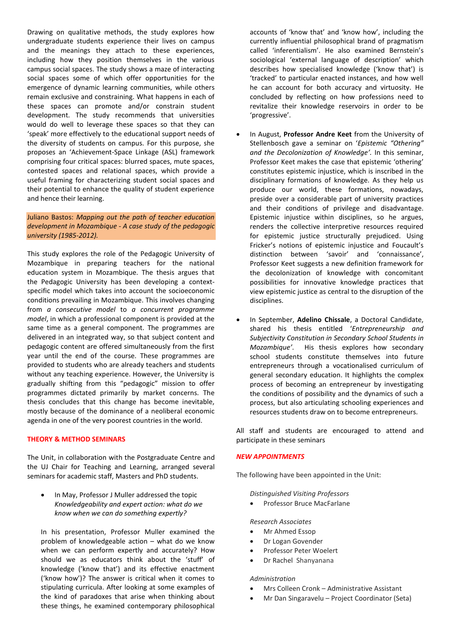Drawing on qualitative methods, the study explores how undergraduate students experience their lives on campus and the meanings they attach to these experiences, including how they position themselves in the various campus social spaces. The study shows a maze of interacting social spaces some of which offer opportunities for the emergence of dynamic learning communities, while others remain exclusive and constraining. What happens in each of these spaces can promote and/or constrain student development. The study recommends that universities would do well to leverage these spaces so that they can 'speak' more effectively to the educational support needs of the diversity of students on campus. For this purpose, she proposes an 'Achievement-Space Linkage (ASL) framework comprising four critical spaces: blurred spaces, mute spaces, contested spaces and relational spaces, which provide a useful framing for characterizing student social spaces and their potential to enhance the quality of student experience and hence their learning.

# Juliano Bastos: *Mapping out the path of teacher education development in Mozambique - A case study of the pedagogic university (1985-2012).*

This study explores the role of the Pedagogic University of Mozambique in preparing teachers for the national education system in Mozambique. The thesis argues that the Pedagogic University has been developing a contextspecific model which takes into account the socioeconomic conditions prevailing in Mozambique. This involves changing from *a consecutive model* to *a concurrent programme model*, in which a professional component is provided at the same time as a general component. The programmes are delivered in an integrated way, so that subject content and pedagogic content are offered simultaneously from the first year until the end of the course. These programmes are provided to students who are already teachers and students without any teaching experience. However, the University is gradually shifting from this "pedagogic" mission to offer programmes dictated primarily by market concerns. The thesis concludes that this change has become inevitable, mostly because of the dominance of a neoliberal economic agenda in one of the very poorest countries in the world.

# **THEORY & METHOD SEMINARS**

The Unit, in collaboration with the Postgraduate Centre and the UJ Chair for Teaching and Learning, arranged several seminars for academic staff, Masters and PhD students.

 In May, Professor J Muller addressed the topic *Knowledgeability and expert action: what do we know when we can do something expertly?*

In his presentation, Professor Muller examined the problem of knowledgeable action – what do we know when we can perform expertly and accurately? How should we as educators think about the 'stuff' of knowledge ('know that') and its effective enactment ('know how')? The answer is critical when it comes to stipulating curricula. After looking at some examples of the kind of paradoxes that arise when thinking about these things, he examined contemporary philosophical

accounts of 'know that' and 'know how', including the currently influential philosophical brand of pragmatism called 'inferentialism'. He also examined Bernstein's sociological 'external language of description' which describes how specialised knowledge ('know that') is 'tracked' to particular enacted instances, and how well he can account for both accuracy and virtuosity. He concluded by reflecting on how professions need to revitalize their knowledge reservoirs in order to be 'progressive'.

- In August, **Professor Andre Keet** from the University of Stellenbosch gave a seminar on '*Epistemic "Othering" and the Decolonization of Knowledge'.* In this seminar, Professor Keet makes the case that epistemic 'othering' constitutes epistemic injustice, which is inscribed in the disciplinary formations of knowledge. As they help us produce our world, these formations, nowadays, preside over a considerable part of university practices and their conditions of privilege and disadvantage. Epistemic injustice within disciplines, so he argues, renders the collective interpretive resources required for epistemic justice structurally prejudiced. Using Fricker's notions of epistemic injustice and Foucault's distinction between 'savoir' and 'connaissance', Professor Keet suggests a new definition framework for the decolonization of knowledge with concomitant possibilities for innovative knowledge practices that view epistemic justice as central to the disruption of the disciplines.
- In September, **Adelino Chissale**, a Doctoral Candidate, shared his thesis entitled '*Entrepreneurship and Subjectivity Constitution in Secondary School Students in Mozambique'*. His thesis explores how secondary school students constitute themselves into future entrepreneurs through a vocationalised curriculum of general secondary education. It highlights the complex process of becoming an entrepreneur by investigating the conditions of possibility and the dynamics of such a process, but also articulating schooling experiences and resources students draw on to become entrepreneurs.

All staff and students are encouraged to attend and participate in these seminars

#### *NEW APPOINTMENTS*

The following have been appointed in the Unit:

# *Distinguished Visiting Professors*

Professor Bruce MacFarlane

#### *Research Associates*

- Mr Ahmed Essop
- Dr Logan Govender
- Professor Peter Woelert
- Dr Rachel Shanyanana

#### *Administration*

- Mrs Colleen Cronk Administrative Assistant
- Mr Dan Singaravelu Project Coordinator (Seta)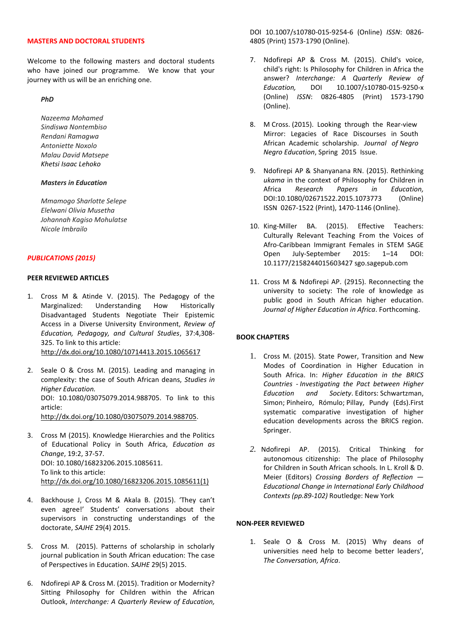# **MASTERS AND DOCTORAL STUDENTS**

Welcome to the following masters and doctoral students who have joined our programme. We know that your journey with us will be an enriching one.

*PhD*

*Nazeema Mohamed Sindiswa Nontembiso Rendani Ramagwa Antoniette Noxolo Malau David Matsepe Khetsi Isaac Lehoko*

# *Masters in Education*

*Mmamogo Sharlotte Selepe Elelwani Olivia Musetha Johannah Kagiso Mohulatse Nicole Imbrailo* 

#### *PUBLICATIONS (2015)*

#### **PEER REVIEWED ARTICLES**

- 1. Cross M & Atinde V. (2015). The Pedagogy of the Marginalized: Understanding How Historically Disadvantaged Students Negotiate Their Epistemic Access in a Diverse University Environment, *Review of Education, Pedagogy, and Cultural Studies*, 37:4,308- 325. To link to this article: <http://dx.doi.org/10.1080/10714413.2015.1065617>
- 2. Seale O & Cross M. (2015). Leading and managing in complexity: the case of South African deans, *Studies in Higher Education.* DOI: 10.1080/03075079.2014.988705. To link to this article: [http://dx.doi.org/10.1080/03075079.2014.988705.](http://dx.doi.org/10.1080/03075079.2014.988705)
- 3. Cross M (2015). Knowledge Hierarchies and the Politics of Educational Policy in South Africa, *Education as Change*, 19:2, 37-57. DOI: 10.1080/16823206.2015.1085611. To link to this article: [http://dx.doi.org/10.1080/16823206.2015.1085611\(1\)](http://dx.doi.org/10.1080/16823206.2015.1085611(1))
- 4. Backhouse J, Cross M & Akala B. (2015). 'They can't even agree!' Students' conversations about their supervisors in constructing understandings of the doctorate, *SAJHE* 29(4) 2015.
- 5. Cross M. (2015). Patterns of scholarship in scholarly journal publication in South African education: The case of Perspectives in Education. *SAJHE* 29(5) 2015.
- 6. Ndofirepi AP & Cross M. (2015). Tradition or Modernity? Sitting Philosophy for Children within the African Outlook, *Interchange: A Quarterly Review of Education,*

DOI 10.1007/s10780-015-9254-6 (Online) *ISSN*: 0826- 4805 (Print) 1573-1790 (Online).

- 7. Ndofirepi AP & Cross M. (2015). Child's voice, child's right: Is Philosophy for Children in Africa the answer? *Interchange: A Quarterly Review of Education,* DOI 10.1007/s10780-015-9250-x (Online) *ISSN*: 0826-4805 (Print) 1573-1790 (Online).
- 8. M Cross. (2015). Looking through the Rear-view Mirror: Legacies of Race Discourses in South African Academic scholarship. *Journal of Negro Negro Education*, Spring 2015 Issue.
- 9. Ndofirepi AP & Shanyanana RN. (2015). Rethinking *ukama* in the context of Philosophy for Children in Africa *Research Papers in Education,* DOI:10.1080/02671522.2015.1073773 (Online) ISSN 0267-1522 (Print), 1470-1146 (Online).
- 10. King-Miller BA. (2015). Effective Teachers: Culturally Relevant Teaching From the Voices of Afro-Caribbean Immigrant Females in STEM SAGE Open July-September 2015: 1–14 DOI: 10.1177/2158244015603427 sgo.sagepub.com
- 11. Cross M & Ndofirepi AP. (2915). Reconnecting the university to society: The role of knowledge as public good in South African higher education. *Journal of Higher Education in Africa*. Forthcoming.

# **BOOK CHAPTERS**

- 1. Cross M. (2015). State Power, Transition and New Modes of Coordination in Higher Education in South Africa. In: *Higher Education in the BRICS Countries - Investigating the Pact between Higher Education and Society*. Editors: Schwartzman, Simon; Pinheiro, Rómulo; Pillay, Pundy (Eds).First systematic comparative investigation of higher education developments across the BRICS region. Springer.
- *2.* Ndofirepi AP. (2015). Critical Thinking for autonomous citizenship: The place of Philosophy for Children in South African schools. In L. Kroll & D. Meier (Editors) *Crossing Borders of Reflection — Educational Change in International Early Childhood Contexts (pp.89-102)* Routledge: New York

# **NON-PEER REVIEWED**

1. Seale O & Cross M. (2015) Why deans of universities need help to become better leaders', *The Conversation, Africa*.